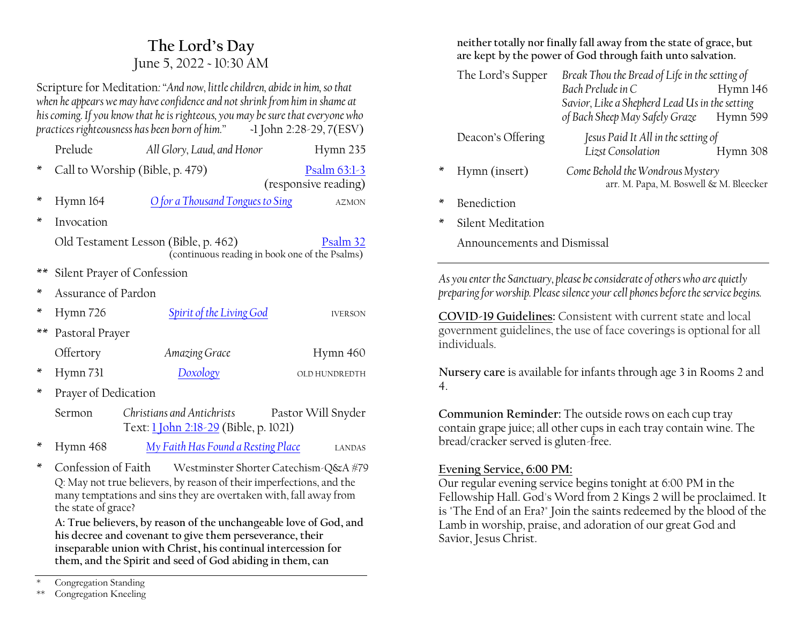# **The Lord·s Day** June 5, 2022 ~ 10:30 AM

Scripture for Meditation*:´And now, little children, abide in him, so that when he appears we may have confidence and not shrink from him in shame at his coming. If you know that he is righteous, you may be sure that everyone who practices righteousness has been born of him.*<sup>*n*</sup>

|      | Prelude                                                                                            | All Glory, Laud, and Honor                                                                                                        | Hymn 235             |  |
|------|----------------------------------------------------------------------------------------------------|-----------------------------------------------------------------------------------------------------------------------------------|----------------------|--|
| ×    |                                                                                                    | Call to Worship (Bible, p. 479)                                                                                                   | Psalm 63:1-3         |  |
|      |                                                                                                    |                                                                                                                                   | (responsive reading) |  |
| ¥    | Hymn 164                                                                                           | O for a Thousand Tongues to Sing                                                                                                  | <b>AZMON</b>         |  |
| ×    | Invocation                                                                                         |                                                                                                                                   |                      |  |
|      | Old Testament Lesson (Bible, p. 462)<br>Psalm 32<br>(continuous reading in book one of the Psalms) |                                                                                                                                   |                      |  |
| **   | Silent Prayer of Confession                                                                        |                                                                                                                                   |                      |  |
| ∗    | Assurance of Pardon                                                                                |                                                                                                                                   |                      |  |
| ∗    | Hymn 726                                                                                           | <b>Spirit of the Living God</b>                                                                                                   | <b>IVERSON</b>       |  |
| $**$ | Pastoral Prayer                                                                                    |                                                                                                                                   |                      |  |
|      | Offertory                                                                                          | Amazing Grace                                                                                                                     | Hymn 460             |  |
| ×    | Hymn 731                                                                                           | <u>Doxology</u>                                                                                                                   | OLD HUNDREDTH        |  |
| ×    | Prayer of Dedication                                                                               |                                                                                                                                   |                      |  |
|      | Sermon                                                                                             | Christians and Antichrists<br>Text: 1 John 2:18-29 (Bible, p. 1021)                                                               | Pastor Will Snyder   |  |
| ж    | Hymn 468                                                                                           | <u>My Faith Has Found a Resting Place</u>                                                                                         | <b>LANDAS</b>        |  |
| ×    |                                                                                                    | Confession of Faith Westminster Shorter Catechism-Q&A #79<br>Q: May not true believers, by reason of their imperfections, and the |                      |  |

many temptations and sins they are overtaken with, fall away from the state of grace?

**A: True believers, by reason of the unchangeable love of God, and his decree and covenant to give them perseverance, their inseparable union with Christ, his continual intercession for them, and the Spirit and seed of God abiding in them, can** 

**neither totally nor finally fall away from the state of grace, but are kept by the power of God through faith unto salvation.**

|         | The Lord's Supper | Break Thou the Bread of Life in the setting of                             |          |  |
|---------|-------------------|----------------------------------------------------------------------------|----------|--|
|         |                   | Bach Prelude in C                                                          | Hymn 146 |  |
|         |                   | Savior, Like a Shepherd Lead Us in the setting                             |          |  |
|         |                   | of Bach Sheep May Safely Graze                                             | Hymn 599 |  |
|         | Deacon's Offering | Jesus Paid It All in the setting of                                        |          |  |
|         |                   | Lizst Consolation                                                          | Hymn 308 |  |
| $\star$ | Hymn (insert)     | Come Behold the Wondrous Mystery<br>arr. M. Papa, M. Boswell & M. Bleecker |          |  |
|         |                   |                                                                            |          |  |

- Benediction
- Silent Meditation

Announcements and Dismissal

*As you enter the Sanctuary, please be considerate of others who are quietly preparing for worship. Please silence your cell phones before the service begins.*

**COVID-19 Guidelines:** Consistent with current state and local government guidelines, the use of face coverings is optional for all individuals.

**Nursery care** is available for infants through age 3 in Rooms 2 and 4.

**Communion Reminder:** The outside rows on each cup tray contain grape juice; all other cups in each tray contain wine. The bread/cracker served is gluten-free.

### **Evening Service, 6:00 PM:**

Our regular evening service begins tonight at 6:00 PM in the Fellowship Hall. God's Word from 2 Kings 2 will be proclaimed. It is "The End of an Era?" Join the saints redeemed by the blood of the Lamb in worship, praise, and adoration of our great God and Savior, Jesus Christ.

Congregation Standing

<sup>\*\*</sup> Congregation Kneeling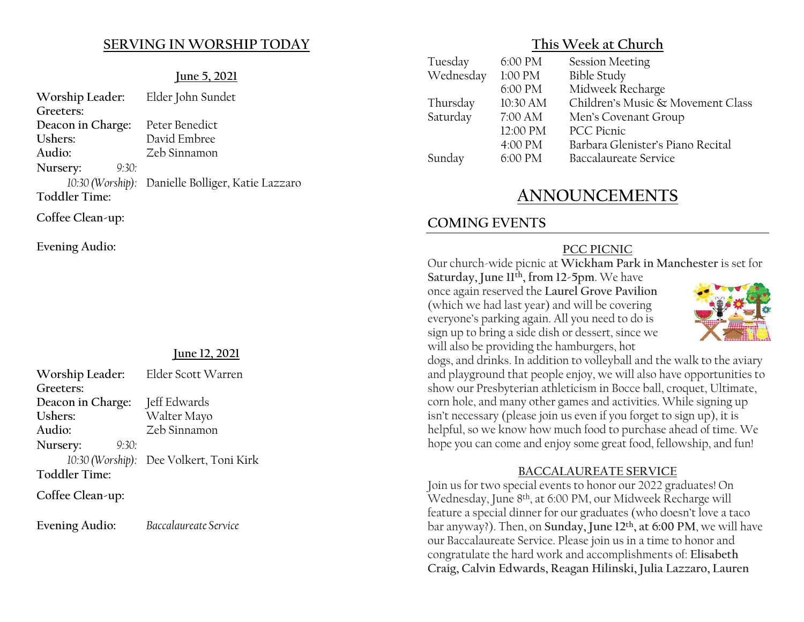### **SERVING IN WORSHIP TODAY**

#### **June 5, 2021**

| Worship Leader:      | Elder John Sundet                                 |
|----------------------|---------------------------------------------------|
| Greeters:            |                                                   |
| Deacon in Charge:    | Peter Benedict                                    |
| Ushers:              | David Embree                                      |
| Audio:               | Zeb Sinnamon                                      |
| Nursery:<br>9:30:    |                                                   |
|                      | 10:30 (Worship): Danielle Bolliger, Katie Lazzaro |
| <b>Toddler Time:</b> |                                                   |
| Coffee Clean-up:     |                                                   |

**Evening Audio:**

#### **June 12, 2021**

| Worship Leader:      | Elder Scott Warren                      |  |  |
|----------------------|-----------------------------------------|--|--|
| Greeters:            |                                         |  |  |
| Deacon in Charge:    | Jeff Edwards                            |  |  |
| Ushers:              | Walter Mayo                             |  |  |
| Audio:               | Zeb Sinnamon                            |  |  |
| 9:30:<br>Nursery:    |                                         |  |  |
|                      | 10:30 (Worship): Dee Volkert, Toni Kirk |  |  |
| <b>Toddler Time:</b> |                                         |  |  |
| Coffee Clean-up:     |                                         |  |  |

**Evening Audio:** *Baccalaureate Service*

**This Week at Church**

| Tuesday   | 6:00 PM  | <b>Session Meeting</b>            |
|-----------|----------|-----------------------------------|
| Wednesday | 1:00 PM  | <b>Bible Study</b>                |
|           | 6:00 PM  | Midweek Recharge                  |
| Thursday  | 10:30 AM | Children's Music & Movement Class |
| Saturday  | 7:00 AM  | Men's Covenant Group              |
|           | 12:00 PM | <b>PCC</b> Picnic                 |
|           | 4:00 PM  | Barbara Glenister's Piano Recital |
| Sunday    | 6:00 PM  | Baccalaureate Service             |
|           |          |                                   |

# **ANNOUNCEMENTS**

# **COMING EVENTS**

### **PCC PICNIC**

Our church-wide picnic at **Wickham Park in Manchester** is set for

**Saturday, June 11th, from 12-5pm**. We have once again reserved the **Laurel Grove Pavilion** (which we had last year) and will be covering everyone's parking again. All you need to do is sign up to bring a side dish or dessert, since we will also be providing the hamburgers, hot



dogs, and drinks. In addition to volleyball and the walk to the aviary and playground that people enjoy, we will also have opportunities to show our Presbyterian athleticism in Bocce ball, croquet, Ultimate, corn hole, and many other games and activities. While signing up isn't necessary (please join us even if you forget to sign up), it is helpful, so we know how much food to purchase ahead of time. We hope you can come and enjoy some great food, fellowship, and fun!

#### **BACCALAUREATE SERVICE**

Join us for two special events to honor our 2022 graduates! On Wednesday, June 8th, at 6:00 PM, our Midweek Recharge will feature a special dinner for our graduates (who doesn't love a taco bar anyway?). Then, on **Sunday, June 12th, at 6:00 PM**, we will have our Baccalaureate Service. Please join us in a time to honor and congratulate the hard work and accomplishments of: **Elisabeth Craig, Calvin Edwards, Reagan Hilinski, Julia Lazzaro, Lauren**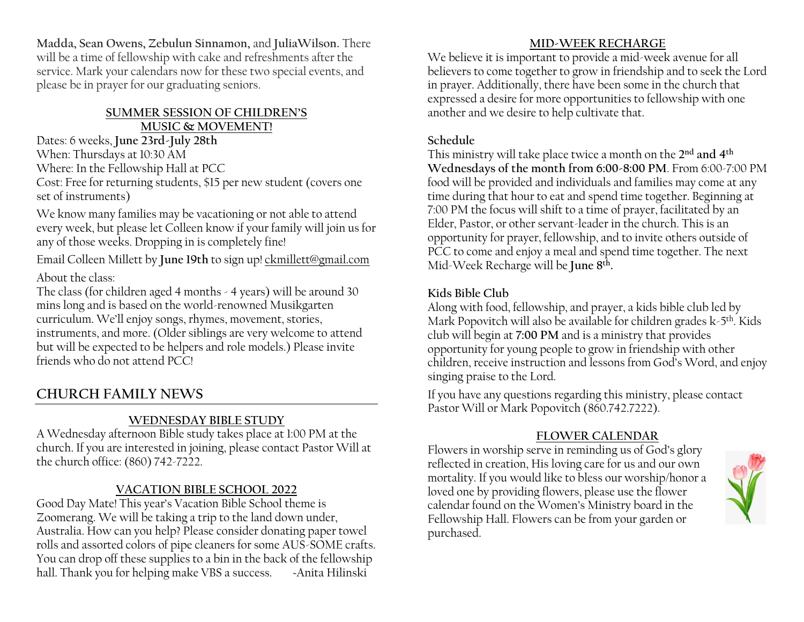**Madda, Sean Owens, Zebulun Sinnamon,** and **JuliaWilson.** There will be a time of fellowship with cake and refreshments after the service. Mark your calendars now for these two special events, and please be in prayer for our graduating seniors.

#### **68000 SUMMER SESSION OF CHILDREN'S MUSIC & MOVEMENT!**

Dates: 6 weeks, **June 23rd-July 28th** When: Thursdays at 10:30 AM

Where: In the Fellowship Hall at PCC

Cost: Free for returning students, \$15 per new student (covers one set of instruments)

We know many families may be vacationing or not able to attend every week, but please let Colleen know if your family will join us for any of those weeks. Dropping in is completely fine!

Email Colleen Millett by **June 19th** to sign up! [ckmillett@gmail.com](mailto:ckmillett@gmail.com) About the class:

The class (for children aged 4 months - 4 years) will be around 30 mins long and is based on the world-renowned Musikgarten curriculum. We'll enjoy songs, rhymes, movement, stories, instruments, and more. (Older siblings are very welcome to attend but will be expected to be helpers and role models.) Please invite friends who do not attend PCC!

# **CHURCH FAMILY NEWS**

# **WEDNESDAY BIBLE STUDY**

A Wednesday afternoon Bible study takes place at 1:00 PM at the church. If you are interested in joining, please contact Pastor Will at the church office: (860) 742-7222.

# **VACATION BIBLE SCHOOL 2022**

Good Day Mate! This year's Vacation Bible School theme is Zoomerang. We will be taking a trip to the land down under, Australia. How can you help? Please consider donating paper towel rolls and assorted colors of pipe cleaners for some AUS-SOME crafts. You can drop off these supplies to a bin in the back of the fellowship hall. Thank you for helping make VBS a success. Anita Hilinski

### **MID-WEEK RECHARGE**

We believe it is important to provide a mid-week avenue for all believers to come together to grow in friendship and to seek the Lord in prayer. Additionally, there have been some in the church that expressed a desire for more opportunities to fellowship with one another and we desire to help cultivate that.

### **Schedule**

This ministry will take place twice a month on the **2nd and 4th Wednesdays of the month from 6:00-8:00 PM**. From 6:00-7:00 PM food will be provided and individuals and families may come at any time during that hour to eat and spend time together. Beginning at 7:00 PM the focus will shift to a time of prayer, facilitated by an Elder, Pastor, or other servant-leader in the church. This is an opportunity for prayer, fellowship, and to invite others outside of PCC to come and enjoy a meal and spend time together. The next Mid-Week Recharge will be **June 8th.**

# **Kids Bible Club**

Along with food, fellowship, and prayer, a kids bible club led by Mark Popovitch will also be available for children grades  $k-5<sup>th</sup>$ . Kids club will begin at **7:00 PM** and is a ministry that provides opportunity for young people to grow in friendship with other children, receive instruction and lessons from God's Word, and enjoy singing praise to the Lord.

If you have any questions regarding this ministry, please contact Pastor Will or Mark Popovitch (860.742.7222).

## **FLOWER CALENDAR**

Flowers in worship serve in reminding us of God's glory reflected in creation, His loving care for us and our own mortality. If you would like to bless our worship/honor a loved one by providing flowers, please use the flower calendar found on the Women's Ministry board in the Fellowship Hall. Flowers can be from your garden or purchased.